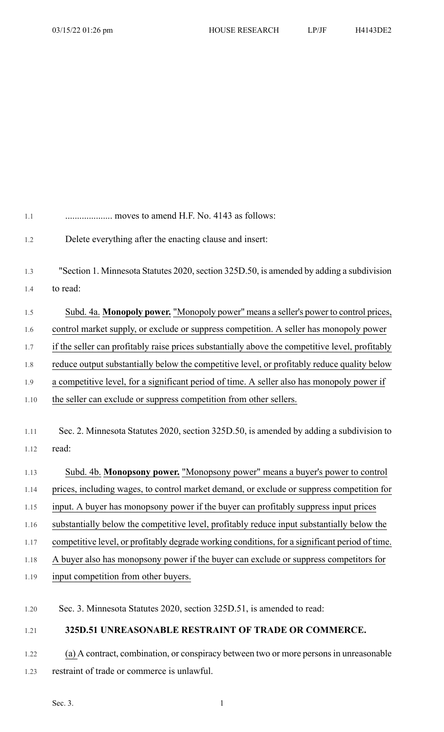| 1.1  | moves to amend H.F. No. 4143 as follows:                                                        |
|------|-------------------------------------------------------------------------------------------------|
| 1.2  | Delete everything after the enacting clause and insert:                                         |
| 1.3  | "Section 1. Minnesota Statutes 2020, section 325D.50, is amended by adding a subdivision        |
| 1.4  | to read:                                                                                        |
| 1.5  | Subd. 4a. Monopoly power. "Monopoly power" means a seller's power to control prices,            |
| 1.6  | control market supply, or exclude or suppress competition. A seller has monopoly power          |
| 1.7  | if the seller can profitably raise prices substantially above the competitive level, profitably |
| 1.8  | reduce output substantially below the competitive level, or profitably reduce quality below     |
| 1.9  | a competitive level, for a significant period of time. A seller also has monopoly power if      |
| 1.10 | the seller can exclude or suppress competition from other sellers.                              |
|      |                                                                                                 |
| 1.11 | Sec. 2. Minnesota Statutes 2020, section 325D.50, is amended by adding a subdivision to         |
| 1.12 | read:                                                                                           |
| 1.13 | Subd. 4b. Monopsony power. "Monopsony power" means a buyer's power to control                   |
| 1.14 | prices, including wages, to control market demand, or exclude or suppress competition for       |
| 1.15 | input. A buyer has monopsony power if the buyer can profitably suppress input prices            |
| 1.16 | substantially below the competitive level, profitably reduce input substantially below the      |
| 1.17 | competitive level, or profitably degrade working conditions, for a significant period of time.  |
| 1.18 | A buyer also has monopsony power if the buyer can exclude or suppress competitors for           |
| 1.19 | input competition from other buyers.                                                            |
| 1.20 | Sec. 3. Minnesota Statutes 2020, section 325D.51, is amended to read:                           |
| 1.21 | 325D.51 UNREASONABLE RESTRAINT OF TRADE OR COMMERCE.                                            |

1.22 (a) A contract, combination, or conspiracy between two or more persons in unreasonable 1.23 restraint of trade or commerce is unlawful.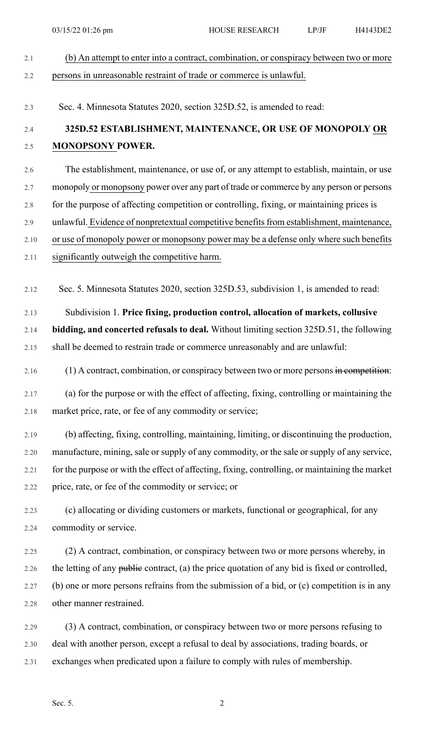|       | 03/15/22 01:26 pm                                                                           | <b>HOUSE RESEARCH</b>                                                                           | $LP/$ J $F$ | H4143DE2 |  |  |
|-------|---------------------------------------------------------------------------------------------|-------------------------------------------------------------------------------------------------|-------------|----------|--|--|
| 2.1   |                                                                                             | (b) An attempt to enter into a contract, combination, or conspiracy between two or more         |             |          |  |  |
| 2.2   |                                                                                             | persons in unreasonable restraint of trade or commerce is unlawful.                             |             |          |  |  |
| 2.3   |                                                                                             | Sec. 4. Minnesota Statutes 2020, section 325D.52, is amended to read:                           |             |          |  |  |
| 2.4   | 325D.52 ESTABLISHMENT, MAINTENANCE, OR USE OF MONOPOLY OR                                   |                                                                                                 |             |          |  |  |
| $2.5$ | <b>MONOPSONY POWER.</b>                                                                     |                                                                                                 |             |          |  |  |
| 2.6   |                                                                                             | The establishment, maintenance, or use of, or any attempt to establish, maintain, or use        |             |          |  |  |
| 2.7   | monopoly or monopsony power over any part of trade or commerce by any person or persons     |                                                                                                 |             |          |  |  |
| 2.8   | for the purpose of affecting competition or controlling, fixing, or maintaining prices is   |                                                                                                 |             |          |  |  |
| 2.9   | unlawful. Evidence of nonpretextual competitive benefits from establishment, maintenance,   |                                                                                                 |             |          |  |  |
| 2.10  |                                                                                             | or use of monopoly power or monopsony power may be a defense only where such benefits           |             |          |  |  |
| 2.11  |                                                                                             | significantly outweigh the competitive harm.                                                    |             |          |  |  |
| 2.12  |                                                                                             | Sec. 5. Minnesota Statutes 2020, section 325D.53, subdivision 1, is amended to read:            |             |          |  |  |
| 2.13  | Subdivision 1. Price fixing, production control, allocation of markets, collusive           |                                                                                                 |             |          |  |  |
| 2.14  | bidding, and concerted refusals to deal. Without limiting section 325D.51, the following    |                                                                                                 |             |          |  |  |
| 2.15  |                                                                                             | shall be deemed to restrain trade or commerce unreasonably and are unlawful:                    |             |          |  |  |
| 2.16  |                                                                                             | $(1)$ A contract, combination, or conspiracy between two or more persons in competition:        |             |          |  |  |
| 2.17  |                                                                                             | (a) for the purpose or with the effect of affecting, fixing, controlling or maintaining the     |             |          |  |  |
| 2.18  | market price, rate, or fee of any commodity or service;                                     |                                                                                                 |             |          |  |  |
| 2.19  |                                                                                             | (b) affecting, fixing, controlling, maintaining, limiting, or discontinuing the production,     |             |          |  |  |
| 2.20  | manufacture, mining, sale or supply of any commodity, or the sale or supply of any service, |                                                                                                 |             |          |  |  |
| 2.21  |                                                                                             | for the purpose or with the effect of affecting, fixing, controlling, or maintaining the market |             |          |  |  |
| 2.22  | price, rate, or fee of the commodity or service; or                                         |                                                                                                 |             |          |  |  |
| 2.23  |                                                                                             | (c) allocating or dividing customers or markets, functional or geographical, for any            |             |          |  |  |
| 2.24  | commodity or service.                                                                       |                                                                                                 |             |          |  |  |
| 2.25  |                                                                                             | (2) A contract, combination, or conspiracy between two or more persons whereby, in              |             |          |  |  |
| 2.26  |                                                                                             | the letting of any public contract, (a) the price quotation of any bid is fixed or controlled,  |             |          |  |  |
| 2.27  | (b) one or more persons refrains from the submission of a bid, or (c) competition is in any |                                                                                                 |             |          |  |  |
| 2.28  | other manner restrained.                                                                    |                                                                                                 |             |          |  |  |
| 2.29  |                                                                                             | (3) A contract, combination, or conspiracy between two or more persons refusing to              |             |          |  |  |
| 2.30  | deal with another person, except a refusal to deal by associations, trading boards, or      |                                                                                                 |             |          |  |  |

2.31 exchanges when predicated upon a failure to comply with rules of membership.